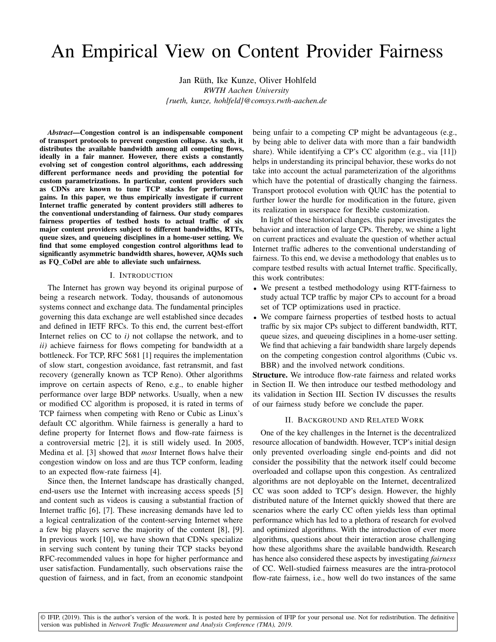# An Empirical View on Content Provider Fairness

Jan Rüth, Ike Kunze, Oliver Hohlfeld *RWTH Aachen University {rueth, kunze, hohlfeld}@comsys.rwth-aachen.de*

*Abstract*—Congestion control is an indispensable component of transport protocols to prevent congestion collapse. As such, it distributes the available bandwidth among all competing flows, ideally in a fair manner. However, there exists a constantly evolving set of congestion control algorithms, each addressing different performance needs and providing the potential for custom parametrizations. In particular, content providers such as CDNs are known to tune TCP stacks for performance gains. In this paper, we thus empirically investigate if current Internet traffic generated by content providers still adheres to the conventional understanding of fairness. Our study compares fairness properties of testbed hosts to actual traffic of six major content providers subject to different bandwidths, RTTs, queue sizes, and queueing disciplines in a home-user setting. We find that some employed congestion control algorithms lead to significantly asymmetric bandwidth shares, however, AQMs such as FQ\_CoDel are able to alleviate such unfairness.

### I. INTRODUCTION

The Internet has grown way beyond its original purpose of being a research network. Today, thousands of autonomous systems connect and exchange data. The fundamental principles governing this data exchange are well established since decades and defined in IETF RFCs. To this end, the current best-effort Internet relies on CC to *i)* not collapse the network, and to *ii)* achieve fairness for flows competing for bandwidth at a bottleneck. For TCP, RFC 5681 [1] requires the implementation of slow start, congestion avoidance, fast retransmit, and fast recovery (generally known as TCP Reno). Other algorithms improve on certain aspects of Reno, e.g., to enable higher performance over large BDP networks. Usually, when a new or modified CC algorithm is proposed, it is rated in terms of TCP fairness when competing with Reno or Cubic as Linux's default CC algorithm. While fairness is generally a hard to define property for Internet flows and flow-rate fairness is a controversial metric [2], it is still widely used. In 2005, Medina et al. [3] showed that *most* Internet flows halve their congestion window on loss and are thus TCP conform, leading to an expected flow-rate fairness [4].

Since then, the Internet landscape has drastically changed, end-users use the Internet with increasing access speeds [5] and content such as videos is causing a substantial fraction of Internet traffic [6], [7]. These increasing demands have led to a logical centralization of the content-serving Internet where a few big players serve the majority of the content [8], [9]. In previous work [10], we have shown that CDNs specialize in serving such content by tuning their TCP stacks beyond RFC-recommended values in hope for higher performance and user satisfaction. Fundamentally, such observations raise the question of fairness, and in fact, from an economic standpoint

being unfair to a competing CP might be advantageous (e.g., by being able to deliver data with more than a fair bandwidth share). While identifying a CP's CC algorithm (e.g., via [11]) helps in understanding its principal behavior, these works do not take into account the actual parameterization of the algorithms which have the potential of drastically changing the fairness. Transport protocol evolution with QUIC has the potential to further lower the hurdle for modification in the future, given its realization in userspace for flexible customization.

In light of these historical changes, this paper investigates the behavior and interaction of large CPs. Thereby, we shine a light on current practices and evaluate the question of whether actual Internet traffic adheres to the conventional understanding of fairness. To this end, we devise a methodology that enables us to compare testbed results with actual Internet traffic. Specifically, this work contributes:

- We present a testbed methodology using RTT-fairness to study actual TCP traffic by major CPs to account for a broad set of TCP optimizations used in practice.
- We compare fairness properties of testbed hosts to actual traffic by six major CPs subject to different bandwidth, RTT, queue sizes, and queueing disciplines in a home-user setting. We find that achieving a fair bandwidth share largely depends on the competing congestion control algorithms (Cubic vs. BBR) and the involved network conditions.

Structure. We introduce flow-rate fairness and related works in Section II. We then introduce our testbed methodology and its validation in Section III. Section IV discusses the results of our fairness study before we conclude the paper.

## II. BACKGROUND AND RELATED WORK

One of the key challenges in the Internet is the decentralized resource allocation of bandwidth. However, TCP's initial design only prevented overloading single end-points and did not consider the possibility that the network itself could become overloaded and collapse upon this congestion. As centralized algorithms are not deployable on the Internet, decentralized CC was soon added to TCP's design. However, the highly distributed nature of the Internet quickly showed that there are scenarios where the early CC often yields less than optimal performance which has led to a plethora of research for evolved and optimized algorithms. With the introduction of ever more algorithms, questions about their interaction arose challenging how these algorithms share the available bandwidth. Research has hence also considered these aspects by investigating *fairness* of CC. Well-studied fairness measures are the intra-protocol flow-rate fairness, i.e., how well do two instances of the same

© IFIP, (2019). This is the author's version of the work. It is posted here by permission of IFIP for your personal use. Not for redistribution. The definitive version was published in *Network Traffic Measurement and Analysis Conference (TMA), 2019*.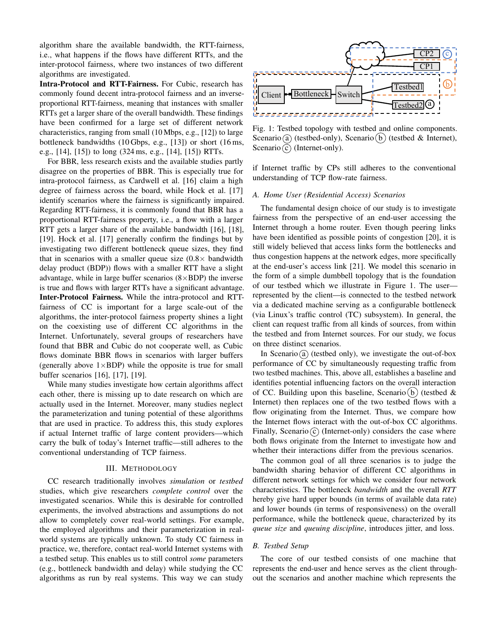algorithm share the available bandwidth, the RTT-fairness, i.e., what happens if the flows have different RTTs, and the inter-protocol fairness, where two instances of two different algorithms are investigated.

Intra-Protocol and RTT-Fairness. For Cubic, research has commonly found decent intra-protocol fairness and an inverseproportional RTT-fairness, meaning that instances with smaller RTTs get a larger share of the overall bandwidth. These findings have been confirmed for a large set of different network characteristics, ranging from small (10 Mbps, e.g., [12]) to large bottleneck bandwidths (10 Gbps, e.g., [13]) or short (16 ms, e.g., [14], [15]) to long (324 ms, e.g., [14], [15]) RTTs.

For BBR, less research exists and the available studies partly disagree on the properties of BBR. This is especially true for intra-protocol fairness, as Cardwell et al. [16] claim a high degree of fairness across the board, while Hock et al. [17] identify scenarios where the fairness is significantly impaired. Regarding RTT-fairness, it is commonly found that BBR has a proportional RTT-fairness property, i.e., a flow with a larger RTT gets a larger share of the available bandwidth [16], [18], [19]. Hock et al. [17] generally confirm the findings but by investigating two different bottleneck queue sizes, they find that in scenarios with a smaller queue size  $(0.8 \times$  bandwidth delay product (BDP)) flows with a smaller RTT have a slight advantage, while in large buffer scenarios  $(8 \times BDP)$  the inverse is true and flows with larger RTTs have a significant advantage. Inter-Protocol Fairness. While the intra-protocol and RTTfairness of CC is important for a large scale-out of the algorithms, the inter-protocol fairness property shines a light on the coexisting use of different CC algorithms in the Internet. Unfortunately, several groups of researchers have found that BBR and Cubic do not cooperate well, as Cubic flows dominate BBR flows in scenarios with larger buffers (generally above  $1 \times BDP$ ) while the opposite is true for small buffer scenarios [16], [17], [19].

While many studies investigate how certain algorithms affect each other, there is missing up to date research on which are actually used in the Internet. Moreover, many studies neglect the parameterization and tuning potential of these algorithms that are used in practice. To address this, this study explores if actual Internet traffic of large content providers—which carry the bulk of today's Internet traffic—still adheres to the conventional understanding of TCP fairness.

### III. METHODOLOGY

CC research traditionally involves *simulation* or *testbed* studies, which give researchers *complete control* over the investigated scenarios. While this is desirable for controlled experiments, the involved abstractions and assumptions do not allow to completely cover real-world settings. For example, the employed algorithms and their parameterization in realworld systems are typically unknown. To study CC fairness in practice, we, therefore, contact real-world Internet systems with a testbed setup. This enables us to still control *some* parameters (e.g., bottleneck bandwidth and delay) while studying the CC algorithms as run by real systems. This way we can study



Fig. 1: Testbed topology with testbed and online components. Scenario (a) (testbed-only), Scenario (b) (testbed & Internet), Scenario  $\odot$  (Internet-only).

if Internet traffic by CPs still adheres to the conventional understanding of TCP flow-rate fairness.

## *A. Home User (Residential Access) Scenarios*

The fundamental design choice of our study is to investigate fairness from the perspective of an end-user accessing the Internet through a home router. Even though peering links have been identified as possible points of congestion [20], it is still widely believed that access links form the bottlenecks and thus congestion happens at the network edges, more specifically at the end-user's access link [21]. We model this scenario in the form of a simple dumbbell topology that is the foundation of our testbed which we illustrate in Figure 1. The user represented by the client—is connected to the testbed network via a dedicated machine serving as a configurable bottleneck (via Linux's traffic control (TC) subsystem). In general, the client can request traffic from all kinds of sources, from within the testbed and from Internet sources. For our study, we focus on three distinct scenarios.

In Scenario (a) (testbed only), we investigate the out-of-box performance of CC by simultaneously requesting traffic from two testbed machines. This, above all, establishes a baseline and identifies potential influencing factors on the overall interaction of CC. Building upon this baseline, Scenario (b) (testbed  $\&$ Internet) then replaces one of the two testbed flows with a flow originating from the Internet. Thus, we compare how the Internet flows interact with the out-of-box CC algorithms. Finally, Scenario  $\odot$  (Internet-only) considers the case where both flows originate from the Internet to investigate how and whether their interactions differ from the previous scenarios.

The common goal of all three scenarios is to judge the bandwidth sharing behavior of different CC algorithms in different network settings for which we consider four network characteristics. The bottleneck *bandwidth* and the overall *RTT* hereby give hard upper bounds (in terms of available data rate) and lower bounds (in terms of responsiveness) on the overall performance, while the bottleneck queue, characterized by its *queue size* and *queuing discipline*, introduces jitter, and loss.

#### *B. Testbed Setup*

The core of our testbed consists of one machine that represents the end-user and hence serves as the client throughout the scenarios and another machine which represents the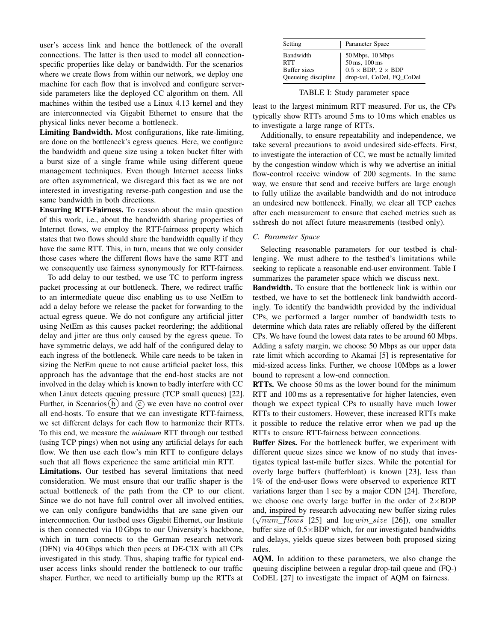user's access link and hence the bottleneck of the overall connections. The latter is then used to model all connectionspecific properties like delay or bandwidth. For the scenarios where we create flows from within our network, we deploy one machine for each flow that is involved and configure serverside parameters like the deployed CC algorithm on them. All machines within the testbed use a Linux 4.13 kernel and they are interconnected via Gigabit Ethernet to ensure that the physical links never become a bottleneck.

Limiting Bandwidth. Most configurations, like rate-limiting, are done on the bottleneck's egress queues. Here, we configure the bandwidth and queue size using a token bucket filter with a burst size of a single frame while using different queue management techniques. Even though Internet access links are often asymmetrical, we disregard this fact as we are not interested in investigating reverse-path congestion and use the same bandwidth in both directions.

Ensuring RTT-Fairness. To reason about the main question of this work, i.e., about the bandwidth sharing properties of Internet flows, we employ the RTT-fairness property which states that two flows should share the bandwidth equally if they have the same RTT. This, in turn, means that we only consider those cases where the different flows have the same RTT and we consequently use fairness synonymously for RTT-fairness.

To add delay to our testbed, we use TC to perform ingress packet processing at our bottleneck. There, we redirect traffic to an intermediate queue disc enabling us to use NetEm to add a delay before we release the packet for forwarding to the actual egress queue. We do not configure any artificial jitter using NetEm as this causes packet reordering; the additional delay and jitter are thus only caused by the egress queue. To have symmetric delays, we add half of the configured delay to each ingress of the bottleneck. While care needs to be taken in sizing the NetEm queue to not cause artificial packet loss, this approach has the advantage that the end-host stacks are not involved in the delay which is known to badly interfere with CC when Linux detects queuing pressure (TCP small queues) [22]. Further, in Scenarios (b) and  $\hat{c}$  we even have no control over all end-hosts. To ensure that we can investigate RTT-fairness, we set different delays for each flow to harmonize their RTTs. To this end, we measure the *minimum* RTT through our testbed (using TCP pings) when not using any artificial delays for each flow. We then use each flow's min RTT to configure delays such that all flows experience the same artificial min RTT.

Limitations. Our testbed has several limitations that need consideration. We must ensure that our traffic shaper is the actual bottleneck of the path from the CP to our client. Since we do not have full control over all involved entities, we can only configure bandwidths that are sane given our interconnection. Our testbed uses Gigabit Ethernet, our Institute is then connected via 10 Gbps to our University's backbone, which in turn connects to the German research network (DFN) via 40 Gbps which then peers at DE-CIX with all CPs investigated in this study. Thus, shaping traffic for typical enduser access links should render the bottleneck to our traffic shaper. Further, we need to artificially bump up the RTTs at

| Setting                                                 | Parameter Space                                                                                             |
|---------------------------------------------------------|-------------------------------------------------------------------------------------------------------------|
| Bandwidth<br>RTT<br>Buffer sizes<br>Queueing discipline | $50$ Mbps, $10$ Mbps<br>$50$ ms, $100$ ms<br>$0.5 \times$ BDP, $2 \times$ BDP<br>drop-tail, CoDel, FQ_CoDel |

TABLE I: Study parameter space

least to the largest minimum RTT measured. For us, the CPs typically show RTTs around 5 ms to 10 ms which enables us to investigate a large range of RTTs.

Additionally, to ensure repeatability and independence, we take several precautions to avoid undesired side-effects. First, to investigate the interaction of CC, we must be actually limited by the congestion window which is why we advertise an initial flow-control receive window of 200 segments. In the same way, we ensure that send and receive buffers are large enough to fully utilize the available bandwidth and do not introduce an undesired new bottleneck. Finally, we clear all TCP caches after each measurement to ensure that cached metrics such as ssthresh do not affect future measurements (testbed only).

#### *C. Parameter Space*

Selecting reasonable parameters for our testbed is challenging. We must adhere to the testbed's limitations while seeking to replicate a reasonable end-user environment. Table I summarizes the parameter space which we discuss next.

Bandwidth. To ensure that the bottleneck link is within our testbed, we have to set the bottleneck link bandwidth accordingly. To identify the bandwidth provided by the individual CPs, we performed a larger number of bandwidth tests to determine which data rates are reliably offered by the different CPs. We have found the lowest data rates to be around 60 Mbps. Adding a safety margin, we choose 50 Mbps as our upper data rate limit which according to Akamai [5] is representative for mid-sized access links. Further, we choose 10Mbps as a lower bound to represent a low-end connection.

RTTs. We choose 50 ms as the lower bound for the minimum RTT and 100 ms as a representative for higher latencies, even though we expect typical CPs to usually have much lower RTTs to their customers. However, these increased RTTs make it possible to reduce the relative error when we pad up the RTTs to ensure RTT-fairness between connections.

Buffer Sizes. For the bottleneck buffer, we experiment with different queue sizes since we know of no study that investigates typical last-mile buffer sizes. While the potential for overly large buffers (bufferbloat) is known [23], less than 1% of the end-user flows were observed to experience RTT variations larger than 1 sec by a major CDN [24]. Therefore, we choose one overly large buffer in the order of  $2\times BDP$ and, inspired by research advocating new buffer sizing rules  $(\sqrt{num\_flows}$  [25] and  $log win\_size$  [26]), one smaller buffer size of  $0.5 \times BDP$  which, for our investigated bandwidths and delays, yields queue sizes between both proposed sizing rules.

AQM. In addition to these parameters, we also change the queuing discipline between a regular drop-tail queue and (FQ-) CoDEL [27] to investigate the impact of AQM on fairness.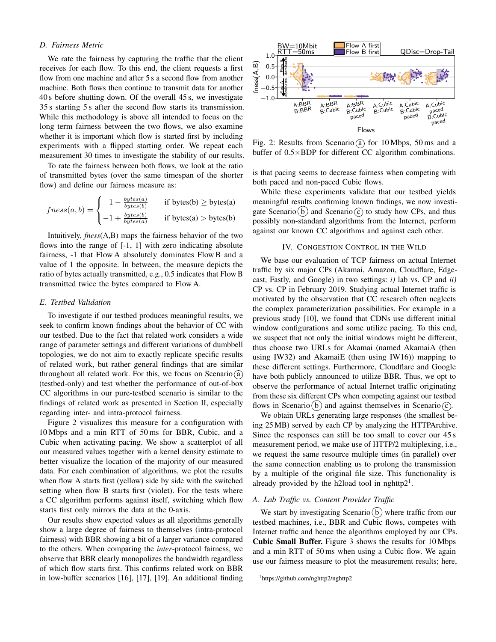## *D. Fairness Metric*

We rate the fairness by capturing the traffic that the client receives for each flow. To this end, the client requests a first flow from one machine and after 5 s a second flow from another machine. Both flows then continue to transmit data for another 40 s before shutting down. Of the overall 45 s, we investigate 35 s starting 5 s after the second flow starts its transmission. While this methodology is above all intended to focus on the long term fairness between the two flows, we also examine whether it is important which flow is started first by including experiments with a flipped starting order. We repeat each measurement 30 times to investigate the stability of our results.

To rate the fairness between both flows, we look at the ratio of transmitted bytes (over the same timespan of the shorter flow) and define our fairness measure as:

$$
fness(a, b) = \begin{cases} 1 - \frac{bytes(a)}{bytes(b)} & \text{if bytes(b)} \ge bytes(a) \\ -1 + \frac{bytes(b)}{bytes(a)} & \text{if bytes(a)} > bytes(b) \end{cases}
$$

Intuitively, *fness*(A,B) maps the fairness behavior of the two flows into the range of [-1, 1] with zero indicating absolute fairness, -1 that Flow A absolutely dominates Flow B and a value of 1 the opposite. In between, the measure depicts the ratio of bytes actually transmitted, e.g., 0.5 indicates that Flow B transmitted twice the bytes compared to Flow A.

### *E. Testbed Validation*

To investigate if our testbed produces meaningful results, we seek to confirm known findings about the behavior of CC with our testbed. Due to the fact that related work considers a wide range of parameter settings and different variations of dumbbell topologies, we do not aim to exactly replicate specific results of related work, but rather general findings that are similar throughout all related work. For this, we focus on Scenario  $\alpha$ (testbed-only) and test whether the performance of out-of-box CC algorithms in our pure-testbed scenario is similar to the findings of related work as presented in Section II, especially regarding inter- and intra-protocol fairness.

Figure 2 visualizes this measure for a configuration with 10 Mbps and a min RTT of 50 ms for BBR, Cubic, and a Cubic when activating pacing. We show a scatterplot of all our measured values together with a kernel density estimate to better visualize the location of the majority of our measured data. For each combination of algorithms, we plot the results when flow A starts first (yellow) side by side with the switched setting when flow B starts first (violet). For the tests where a CC algorithm performs against itself, switching which flow starts first only mirrors the data at the 0-axis.

Our results show expected values as all algorithms generally show a large degree of fairness to themselves (intra-protocol fairness) with BBR showing a bit of a larger variance compared to the others. When comparing the *inter*-protocol fairness, we observe that BBR clearly monopolizes the bandwidth regardless of which flow starts first. This confirms related work on BBR in low-buffer scenarios [16], [17], [19]. An additional finding



Fig. 2: Results from Scenario (a) for 10 Mbps, 50 ms and a buffer of 0.5×BDP for different CC algorithm combinations.

is that pacing seems to decrease fairness when competing with both paced and non-paced Cubic flows.

While these experiments validate that our testbed yields meaningful results confirming known findings, we now investigate Scenario (b) and Scenario  $\odot$  to study how CPs, and thus possibly non-standard algorithms from the Internet, perform against our known CC algorithms and against each other.

## IV. CONGESTION CONTROL IN THE WILD

We base our evaluation of TCP fairness on actual Internet traffic by six major CPs (Akamai, Amazon, Cloudflare, Edgecast, Fastly, and Google) in two settings: *i)* lab vs. CP and *ii)* CP vs. CP in February 2019. Studying actual Internet traffic is motivated by the observation that CC research often neglects the complex parameterization possibilities. For example in a previous study [10], we found that CDNs use different initial window configurations and some utilize pacing. To this end, we suspect that not only the initial windows might be different, thus choose two URLs for Akamai (named AkamaiA (then using IW32) and AkamaiE (then using IW16)) mapping to these different settings. Furthermore, Cloudflare and Google have both publicly announced to utilize BBR. Thus, we opt to observe the performance of actual Internet traffic originating from these six different CPs when competing against our testbed flows in Scenario (b) and against themselves in Scenario  $\overline{c}$ .

We obtain URLs generating large responses (the smallest being 25 MB) served by each CP by analyzing the HTTPArchive. Since the responses can still be too small to cover our 45 s measurement period, we make use of HTTP/2 multiplexing, i.e., we request the same resource multiple times (in parallel) over the same connection enabling us to prolong the transmission by a multiple of the original file size. This functionality is already provided by the h2load tool in nghttp $2<sup>1</sup>$ .

# *A. Lab Traffic vs. Content Provider Traffic*

We start by investigating Scenario  $(b)$  where traffic from our testbed machines, i.e., BBR and Cubic flows, competes with Internet traffic and hence the algorithms employed by our CPs. Cubic Small Buffer. Figure 3 shows the results for 10 Mbps and a min RTT of 50 ms when using a Cubic flow. We again use our fairness measure to plot the measurement results; here,

<sup>1</sup>https://github.com/nghttp2/nghttp2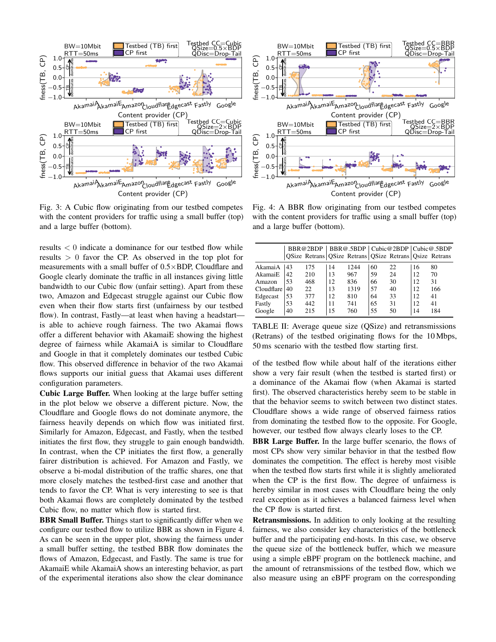

Fig. 3: A Cubic flow originating from our testbed competes with the content providers for traffic using a small buffer (top) and a large buffer (bottom).

results < 0 indicate a dominance for our testbed flow while results  $> 0$  favor the CP. As observed in the top plot for measurements with a small buffer of 0.5×BDP, Cloudflare and Google clearly dominate the traffic in all instances giving little bandwidth to our Cubic flow (unfair setting). Apart from these two, Amazon and Edgecast struggle against our Cubic flow even when their flow starts first (unfairness by our testbed flow). In contrast, Fastly—at least when having a headstart is able to achieve rough fairness. The two Akamai flows offer a different behavior with AkamaiE showing the highest degree of fairness while AkamaiA is similar to Cloudflare and Google in that it completely dominates our testbed Cubic flow. This observed difference in behavior of the two Akamai flows supports our initial guess that Akamai uses different configuration parameters.

Cubic Large Buffer. When looking at the large buffer setting in the plot below we observe a different picture. Now, the Cloudflare and Google flows do not dominate anymore, the fairness heavily depends on which flow was initiated first. Similarly for Amazon, Edgecast, and Fastly, when the testbed initiates the first flow, they struggle to gain enough bandwidth. In contrast, when the CP initiates the first flow, a generally fairer distribution is achieved. For Amazon and Fastly, we observe a bi-modal distribution of the traffic shares, one that more closely matches the testbed-first case and another that tends to favor the CP. What is very interesting to see is that both Akamai flows are completely dominated by the testbed Cubic flow, no matter which flow is started first.

**BBR Small Buffer.** Things start to significantly differ when we configure our testbed flow to utilize BBR as shown in Figure 4. As can be seen in the upper plot, showing the fairness under a small buffer setting, the testbed BBR flow dominates the flows of Amazon, Edgecast, and Fastly. The same is true for AkamaiE while AkamaiA shows an interesting behavior, as part of the experimental iterations also show the clear dominance



Fig. 4: A BBR flow originating from our testbed competes with the content providers for traffic using a small buffer (top) and a large buffer (bottom).

|            |    |     |    | QSize Retrans QSize Retrans QSize Retrans Qsize Retrans |    |    |    | BBR@2BDP   BBR@.5BDP   Cubic@2BDP   Cubic@.5BDP |
|------------|----|-----|----|---------------------------------------------------------|----|----|----|-------------------------------------------------|
| AkamaiA    | 43 | 175 | 14 | 1244                                                    | 60 | 22 | 16 | 80                                              |
| AkamaiE    | 42 | 210 | 13 | 967                                                     | 59 | 24 | 12 | 70                                              |
| Amazon     | 53 | 468 | 12 | 836                                                     | 66 | 30 | 12 | 31                                              |
| Cloudflare | 40 | 22  | 13 | 1319                                                    | 57 | 40 | 12 | 166                                             |
| Edgecast   | 53 | 377 | 12 | 810                                                     | 64 | 33 | 12 | 41                                              |
| Fastly     | 53 | 442 | 11 | 741                                                     | 65 | 31 | 12 | 41                                              |
| Google     | 40 | 215 | 15 | 760                                                     | 55 | 50 | 14 | 184                                             |

TABLE II: Average queue size (QSize) and retransmissions (Retrans) of the testbed originating flows for the 10 Mbps, 50 ms scenario with the testbed flow starting first.

of the testbed flow while about half of the iterations either show a very fair result (when the testbed is started first) or a dominance of the Akamai flow (when Akamai is started first). The observed characteristics hereby seem to be stable in that the behavior seems to switch between two distinct states. Cloudflare shows a wide range of observed fairness ratios from dominating the testbed flow to the opposite. For Google, however, our testbed flow always clearly loses to the CP.

BBR Large Buffer. In the large buffer scenario, the flows of most CPs show very similar behavior in that the testbed flow dominates the competition. The effect is hereby most visible when the testbed flow starts first while it is slightly ameliorated when the CP is the first flow. The degree of unfairness is hereby similar in most cases with Cloudflare being the only real exception as it achieves a balanced fairness level when the CP flow is started first.

Retransmissions. In addition to only looking at the resulting fairness, we also consider key characteristics of the bottleneck buffer and the participating end-hosts. In this case, we observe the queue size of the bottleneck buffer, which we measure using a simple eBPF program on the bottleneck machine, and the amount of retransmissions of the testbed flow, which we also measure using an eBPF program on the corresponding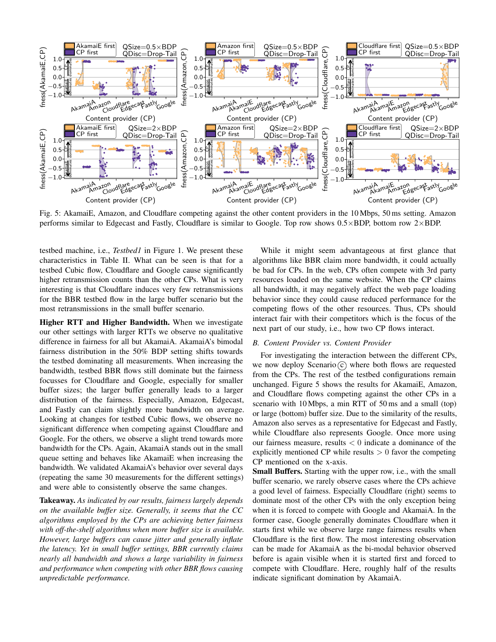

Fig. 5: AkamaiE, Amazon, and Cloudflare competing against the other content providers in the 10 Mbps, 50 ms setting. Amazon performs similar to Edgecast and Fastly, Cloudflare is similar to Google. Top row shows 0.5×BDP, bottom row 2×BDP.

testbed machine, i.e., *Testbed1* in Figure 1. We present these characteristics in Table II. What can be seen is that for a testbed Cubic flow, Cloudflare and Google cause significantly higher retransmission counts than the other CPs. What is very interesting is that Cloudflare induces very few retransmissions for the BBR testbed flow in the large buffer scenario but the most retransmissions in the small buffer scenario.

Higher RTT and Higher Bandwidth. When we investigate our other settings with larger RTTs we observe no qualitative difference in fairness for all but AkamaiA. AkamaiA's bimodal fairness distribution in the 50% BDP setting shifts towards the testbed dominating all measurements. When increasing the bandwidth, testbed BBR flows still dominate but the fairness focusses for Cloudflare and Google, especially for smaller buffer sizes; the larger buffer generally leads to a larger distribution of the fairness. Especially, Amazon, Edgecast, and Fastly can claim slightly more bandwidth on average. Looking at changes for testbed Cubic flows, we observe no significant difference when competing against Cloudflare and Google. For the others, we observe a slight trend towards more bandwidth for the CPs. Again, AkamaiA stands out in the small queue setting and behaves like AkamaiE when increasing the bandwidth. We validated AkamaiA's behavior over several days (repeating the same 30 measurements for the different settings) and were able to consistently observe the same changes.

Takeaway. *As indicated by our results, fairness largely depends on the available buffer size. Generally, it seems that the CC algorithms employed by the CPs are achieving better fairness with off-the-shelf algorithms when more buffer size is available. However, large buffers can cause jitter and generally inflate the latency. Yet in small buffer settings, BBR currently claims nearly all bandwidth and shows a large variability in fairness and performance when competing with other BBR flows causing unpredictable performance.*

While it might seem advantageous at first glance that algorithms like BBR claim more bandwidth, it could actually be bad for CPs. In the web, CPs often compete with 3rd party resources loaded on the same website. When the CP claims all bandwidth, it may negatively affect the web page loading behavior since they could cause reduced performance for the competing flows of the other resources. Thus, CPs should interact fair with their competitors which is the focus of the next part of our study, i.e., how two CP flows interact.

#### *B. Content Provider vs. Content Provider*

For investigating the interaction between the different CPs, we now deploy Scenario  $\odot$  where both flows are requested from the CPs. The rest of the testbed configurations remain unchanged. Figure 5 shows the results for AkamaiE, Amazon, and Cloudflare flows competing against the other CPs in a scenario with 10 Mbps, a min RTT of 50 ms and a small (top) or large (bottom) buffer size. Due to the similarity of the results, Amazon also serves as a representative for Edgecast and Fastly, while Cloudflare also represents Google. Once more using our fairness measure, results  $< 0$  indicate a dominance of the explicitly mentioned CP while results  $> 0$  favor the competing CP mentioned on the x-axis.

Small Buffers. Starting with the upper row, i.e., with the small buffer scenario, we rarely observe cases where the CPs achieve a good level of fairness. Especially Cloudflare (right) seems to dominate most of the other CPs with the only exception being when it is forced to compete with Google and AkamaiA. In the former case, Google generally dominates Cloudflare when it starts first while we observe large range fairness results when Cloudflare is the first flow. The most interesting observation can be made for AkamaiA as the bi-modal behavior observed before is again visible when it is started first and forced to compete with Cloudflare. Here, roughly half of the results indicate significant domination by AkamaiA.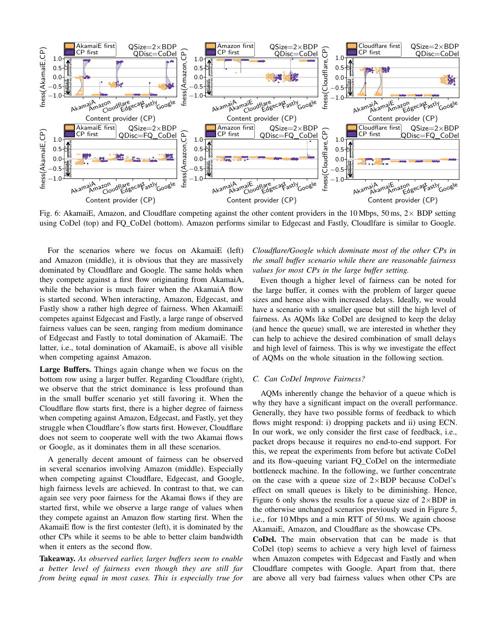

Fig. 6: AkamaiE, Amazon, and Cloudflare competing against the other content providers in the 10 Mbps, 50 ms,  $2 \times BDP$  setting using CoDel (top) and FQ\_CoDel (bottom). Amazon performs similar to Edgecast and Fastly, Cloudlfare is similar to Google.

For the scenarios where we focus on AkamaiE (left) and Amazon (middle), it is obvious that they are massively dominated by Cloudflare and Google. The same holds when they compete against a first flow originating from AkamaiA, while the behavior is much fairer when the AkamaiA flow is started second. When interacting, Amazon, Edgecast, and Fastly show a rather high degree of fairness. When AkamaiE competes against Edgecast and Fastly, a large range of observed fairness values can be seen, ranging from medium dominance of Edgecast and Fastly to total domination of AkamaiE. The latter, i.e., total domination of AkamaiE, is above all visible when competing against Amazon.

Large Buffers. Things again change when we focus on the bottom row using a larger buffer. Regarding Cloudflare (right), we observe that the strict dominance is less profound than in the small buffer scenario yet still favoring it. When the Cloudflare flow starts first, there is a higher degree of fairness when competing against Amazon, Edgecast, and Fastly, yet they struggle when Cloudflare's flow starts first. However, Cloudflare does not seem to cooperate well with the two Akamai flows or Google, as it dominates them in all these scenarios.

A generally decent amount of fairness can be observed in several scenarios involving Amazon (middle). Especially when competing against Cloudflare, Edgecast, and Google, high fairness levels are achieved. In contrast to that, we can again see very poor fairness for the Akamai flows if they are started first, while we observe a large range of values when they compete against an Amazon flow starting first. When the AkamaiE flow is the first contester (left), it is dominated by the other CPs while it seems to be able to better claim bandwidth when it enters as the second flow.

Takeaway. *As observed earlier, larger buffers seem to enable a better level of fairness even though they are still far from being equal in most cases. This is especially true for* *Cloudflare/Google which dominate most of the other CPs in the small buffer scenario while there are reasonable fairness values for most CPs in the large buffer setting.*

Even though a higher level of fairness can be noted for the large buffer, it comes with the problem of larger queue sizes and hence also with increased delays. Ideally, we would have a scenario with a smaller queue but still the high level of fairness. As AQMs like CoDel are designed to keep the delay (and hence the queue) small, we are interested in whether they can help to achieve the desired combination of small delays and high level of fairness. This is why we investigate the effect of AQMs on the whole situation in the following section.

## *C. Can CoDel Improve Fairness?*

AQMs inherently change the behavior of a queue which is why they have a significant impact on the overall performance. Generally, they have two possible forms of feedback to which flows might respond: i) dropping packets and ii) using ECN. In our work, we only consider the first case of feedback, i.e., packet drops because it requires no end-to-end support. For this, we repeat the experiments from before but activate CoDel and its flow-queuing variant FQ\_CoDel on the intermediate bottleneck machine. In the following, we further concentrate on the case with a queue size of  $2 \times BDP$  because CoDel's effect on small queues is likely to be diminishing. Hence, Figure 6 only shows the results for a queue size of  $2\times BDP$  in the otherwise unchanged scenarios previously used in Figure 5, i.e., for 10 Mbps and a min RTT of 50 ms. We again choose AkamaiE, Amazon, and Cloudflare as the showcase CPs.

CoDel. The main observation that can be made is that CoDel (top) seems to achieve a very high level of fairness when Amazon competes with Edgecast and Fastly and when Cloudflare competes with Google. Apart from that, there are above all very bad fairness values when other CPs are